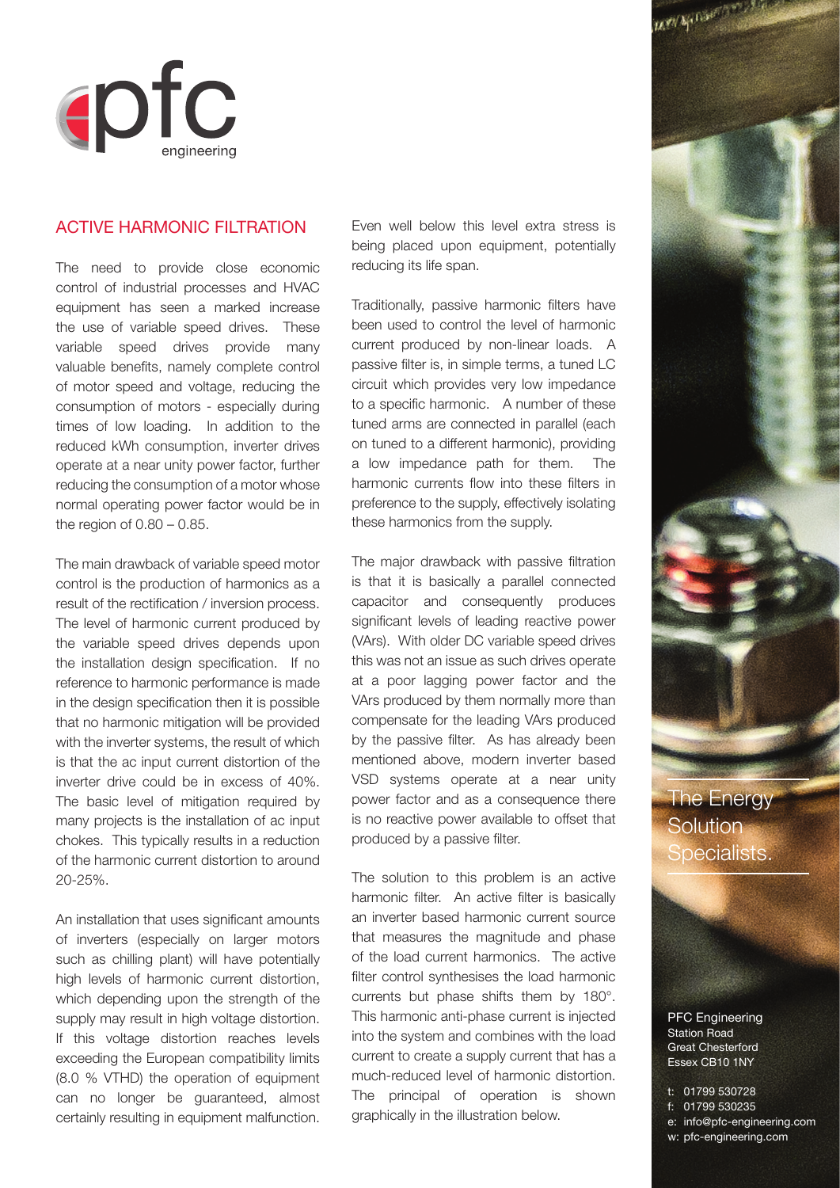

The Energy **Solution** Specialists.

PFC Engineering Station Road Great Chesterford Essex CB10 1NY

t: 01799 530728 f: 01799 530235 e: info@pfc-engineering.com





## Active Harmonic Filtration

The need to provide close economic control of industrial processes and HVAC equipment has seen a marked increase the use of variable speed drives. These variable speed drives provide many valuable benefits, namely complete control of motor speed and voltage, reducing the consumption of motors - especially during times of low loading. In addition to the reduced kWh consumption, inverter drives operate at a near unity power factor, further reducing the consumption of a motor whose normal operating power factor would be in the region of  $0.80 - 0.85$ .

The main drawback of variable speed motor control is the production of harmonics as a result of the rectification / inversion process. The level of harmonic current produced by the variable speed drives depends upon the installation design specification. If no reference to harmonic performance is made in the design specification then it is possible that no harmonic mitigation will be provided with the inverter systems, the result of which is that the ac input current distortion of the inverter drive could be in excess of 40%. The basic level of mitigation required by many projects is the installation of ac input chokes. This typically results in a reduction of the harmonic current distortion to around 20-25%.

An installation that uses significant amounts of inverters (especially on larger motors such as chilling plant) will have potentially high levels of harmonic current distortion, which depending upon the strength of the supply may result in high voltage distortion. If this voltage distortion reaches levels exceeding the European compatibility limits (8.0 % VTHD) the operation of equipment can no longer be guaranteed, almost certainly resulting in equipment malfunction.

Even well below this level extra stress is being placed upon equipment, potentially reducing its life span.

Traditionally, passive harmonic filters have been used to control the level of harmonic current produced by non-linear loads. A passive filter is, in simple terms, a tuned LC circuit which provides very low impedance to a specific harmonic. A number of these tuned arms are connected in parallel (each on tuned to a different harmonic), providing a low impedance path for them. The harmonic currents flow into these filters in preference to the supply, effectively isolating these harmonics from the supply.

The major drawback with passive filtration is that it is basically a parallel connected capacitor and consequently produces significant levels of leading reactive power (VArs). With older DC variable speed drives this was not an issue as such drives operate at a poor lagging power factor and the VArs produced by them normally more than compensate for the leading VArs produced by the passive filter. As has already been mentioned above, modern inverter based VSD systems operate at a near unity power factor and as a consequence there is no reactive power available to offset that produced by a passive filter.

The solution to this problem is an active harmonic filter. An active filter is basically an inverter based harmonic current source that measures the magnitude and phase of the load current harmonics. The active filter control synthesises the load harmonic currents but phase shifts them by 180°. This harmonic anti-phase current is injected into the system and combines with the load current to create a supply current that has a much-reduced level of harmonic distortion. The principal of operation is shown graphically in the illustration below.